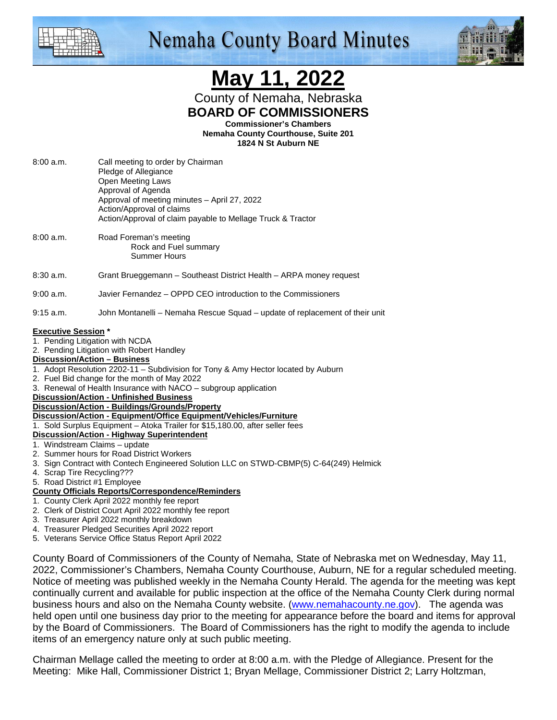

## **Nemaha County Board Minutes**



# **May 11, 2022**

County of Nemaha, Nebraska **BOARD OF COMMISSIONERS** 

**Commissioner's Chambers** 

**Nemaha County Courthouse, Suite 201 1824 N St Auburn NE** 

- 8:00 a.m. Call meeting to order by Chairman Pledge of Allegiance Open Meeting Laws Approval of Agenda Approval of meeting minutes – April 27, 2022 Action/Approval of claims Action/Approval of claim payable to Mellage Truck & Tractor 8:00 a.m. Road Foreman's meeting Rock and Fuel summary Summer Hours 8:30 a.m. Grant Brueggemann – Southeast District Health – ARPA money request 9:00 a.m. Javier Fernandez – OPPD CEO introduction to the Commissioners 9:15 a.m. John Montanelli – Nemaha Rescue Squad – update of replacement of their unit **Executive Session \***  1. Pending Litigation with NCDA 2. Pending Litigation with Robert Handley **Discussion/Action – Business** 1. Adopt Resolution 2202-11 – Subdivision for Tony & Amy Hector located by Auburn 2. Fuel Bid change for the month of May 2022 3. Renewal of Health Insurance with NACO – subgroup application **Discussion/Action - Unfinished Business Discussion/Action - Buildings/Grounds/Property Discussion/Action - Equipment/Office Equipment/Vehicles/Furniture** 1. Sold Surplus Equipment – Atoka Trailer for \$15,180.00, after seller fees **Discussion/Action - Highway Superintendent** 1. Windstream Claims – update 2. Summer hours for Road District Workers 3. Sign Contract with Contech Engineered Solution LLC on STWD-CBMP(5) C-64(249) Helmick 4. Scrap Tire Recycling???
- 5. Road District #1 Employee

#### **County Officials Reports/Correspondence/Reminders**

- 1. County Clerk April 2022 monthly fee report
- 2. Clerk of District Court April 2022 monthly fee report
- 3. Treasurer April 2022 monthly breakdown
- 4. Treasurer Pledged Securities April 2022 report
- 5. Veterans Service Office Status Report April 2022

County Board of Commissioners of the County of Nemaha, State of Nebraska met on Wednesday, May 11, 2022, Commissioner's Chambers, Nemaha County Courthouse, Auburn, NE for a regular scheduled meeting. Notice of meeting was published weekly in the Nemaha County Herald. The agenda for the meeting was kept continually current and available for public inspection at the office of the Nemaha County Clerk during normal business hours and also on the Nemaha County website. (www.nemahacounty.ne.gov). The agenda was held open until one business day prior to the meeting for appearance before the board and items for approval by the Board of Commissioners. The Board of Commissioners has the right to modify the agenda to include items of an emergency nature only at such public meeting.

Chairman Mellage called the meeting to order at 8:00 a.m. with the Pledge of Allegiance. Present for the Meeting: Mike Hall, Commissioner District 1; Bryan Mellage, Commissioner District 2; Larry Holtzman,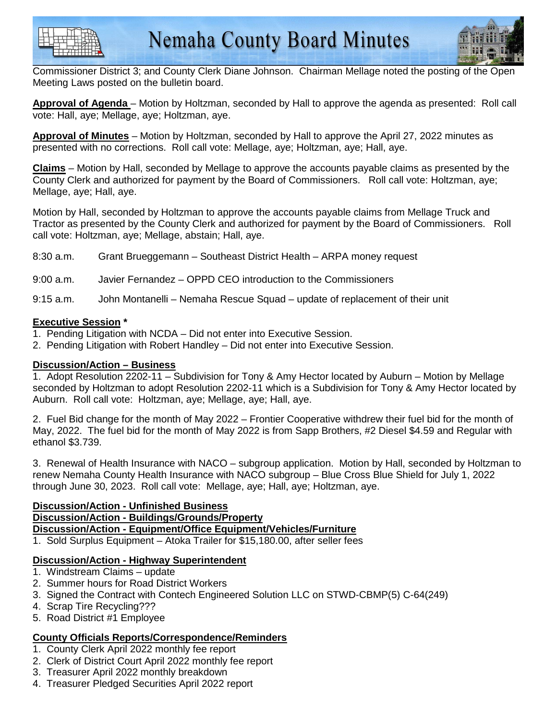



Commissioner District 3; and County Clerk Diane Johnson. Chairman Mellage noted the posting of the Open Meeting Laws posted on the bulletin board.

**Approval of Agenda** – Motion by Holtzman, seconded by Hall to approve the agenda as presented: Roll call vote: Hall, aye; Mellage, aye; Holtzman, aye.

**Approval of Minutes** – Motion by Holtzman, seconded by Hall to approve the April 27, 2022 minutes as presented with no corrections. Roll call vote: Mellage, aye; Holtzman, aye; Hall, aye.

**Claims** – Motion by Hall, seconded by Mellage to approve the accounts payable claims as presented by the County Clerk and authorized for payment by the Board of Commissioners. Roll call vote: Holtzman, aye; Mellage, aye; Hall, aye.

Motion by Hall, seconded by Holtzman to approve the accounts payable claims from Mellage Truck and Tractor as presented by the County Clerk and authorized for payment by the Board of Commissioners. Roll call vote: Holtzman, aye; Mellage, abstain; Hall, aye.

8:30 a.m. Grant Brueggemann – Southeast District Health – ARPA money request

9:00 a.m. Javier Fernandez – OPPD CEO introduction to the Commissioners

9:15 a.m. John Montanelli – Nemaha Rescue Squad – update of replacement of their unit

#### **Executive Session \***

- 1. Pending Litigation with NCDA Did not enter into Executive Session.
- 2. Pending Litigation with Robert Handley Did not enter into Executive Session.

#### **Discussion/Action – Business**

1. Adopt Resolution 2202-11 – Subdivision for Tony & Amy Hector located by Auburn – Motion by Mellage seconded by Holtzman to adopt Resolution 2202-11 which is a Subdivision for Tony & Amy Hector located by Auburn. Roll call vote: Holtzman, aye; Mellage, aye; Hall, aye.

2. Fuel Bid change for the month of May 2022 – Frontier Cooperative withdrew their fuel bid for the month of May, 2022. The fuel bid for the month of May 2022 is from Sapp Brothers, #2 Diesel \$4.59 and Regular with ethanol \$3.739.

3. Renewal of Health Insurance with NACO – subgroup application. Motion by Hall, seconded by Holtzman to renew Nemaha County Health Insurance with NACO subgroup – Blue Cross Blue Shield for July 1, 2022 through June 30, 2023. Roll call vote: Mellage, aye; Hall, aye; Holtzman, aye.

#### **Discussion/Action - Unfinished Business**

**Discussion/Action - Buildings/Grounds/Property**

**Discussion/Action - Equipment/Office Equipment/Vehicles/Furniture**

1. Sold Surplus Equipment – Atoka Trailer for \$15,180.00, after seller fees

#### **Discussion/Action - Highway Superintendent**

- 1. Windstream Claims update
- 2. Summer hours for Road District Workers
- 3. Signed the Contract with Contech Engineered Solution LLC on STWD-CBMP(5) C-64(249)
- 4. Scrap Tire Recycling???
- 5. Road District #1 Employee

#### **County Officials Reports/Correspondence/Reminders**

- 1. County Clerk April 2022 monthly fee report
- 2. Clerk of District Court April 2022 monthly fee report
- 3. Treasurer April 2022 monthly breakdown
- 4. Treasurer Pledged Securities April 2022 report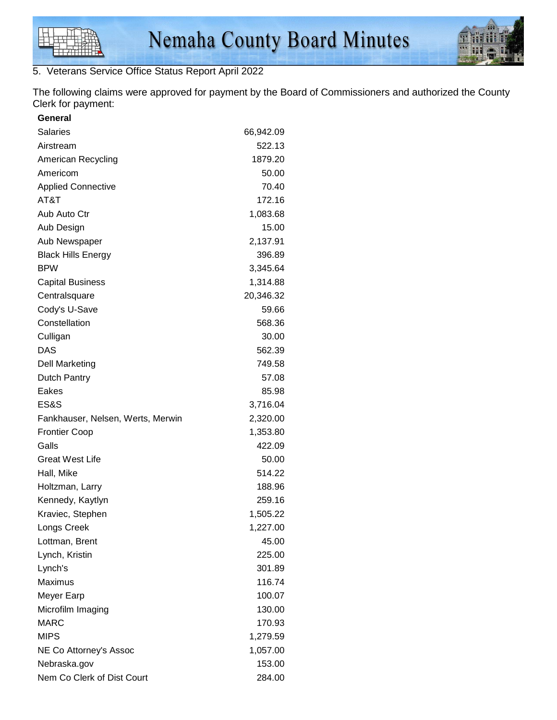

### 5. Veterans Service Office Status Report April 2022

The following claims were approved for payment by the Board of Commissioners and authorized the County Clerk for payment:

| General                           |           |
|-----------------------------------|-----------|
| <b>Salaries</b>                   | 66,942.09 |
| Airstream                         | 522.13    |
| American Recycling                | 1879.20   |
| Americom                          | 50.00     |
| <b>Applied Connective</b>         | 70.40     |
| AT&T                              | 172.16    |
| Aub Auto Ctr                      | 1,083.68  |
| Aub Design                        | 15.00     |
| Aub Newspaper                     | 2,137.91  |
| <b>Black Hills Energy</b>         | 396.89    |
| BPW                               | 3,345.64  |
| <b>Capital Business</b>           | 1,314.88  |
| Centralsquare                     | 20,346.32 |
| Cody's U-Save                     | 59.66     |
| Constellation                     | 568.36    |
| Culligan                          | 30.00     |
| DAS                               | 562.39    |
| <b>Dell Marketing</b>             | 749.58    |
| Dutch Pantry                      | 57.08     |
| Eakes                             | 85.98     |
| ES&S                              | 3,716.04  |
| Fankhauser, Nelsen, Werts, Merwin | 2,320.00  |
| <b>Frontier Coop</b>              | 1,353.80  |
| Galls                             | 422.09    |
| <b>Great West Life</b>            | 50.00     |
| Hall, Mike                        | 514.22    |
| Holtzman, Larry                   | 188.96    |
| Kennedy, Kaytlyn                  | 259.16    |
| Kraviec, Stephen                  | 1,505.22  |
| Longs Creek                       | 1,227.00  |
| Lottman, Brent                    | 45.00     |
| Lynch, Kristin                    | 225.00    |
| Lynch's                           | 301.89    |
| <b>Maximus</b>                    | 116.74    |
| Meyer Earp                        | 100.07    |
| Microfilm Imaging                 | 130.00    |
| <b>MARC</b>                       | 170.93    |
| <b>MIPS</b>                       | 1,279.59  |
| NE Co Attorney's Assoc            | 1,057.00  |
| Nebraska.gov                      | 153.00    |
| Nem Co Clerk of Dist Court        | 284.00    |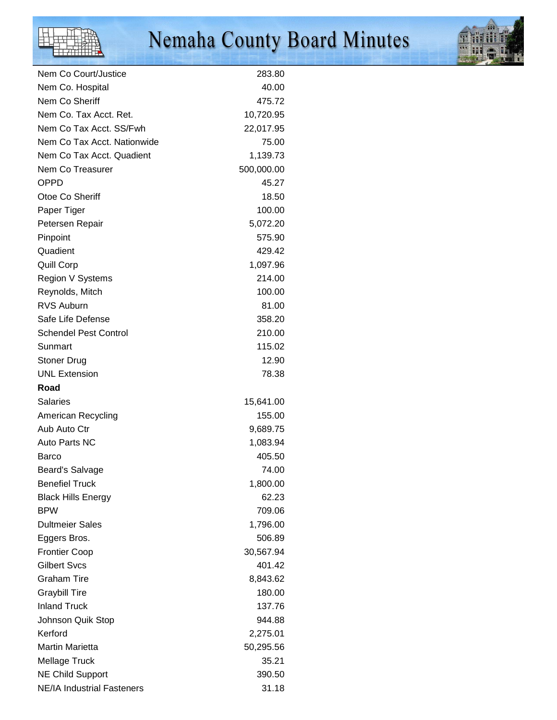# Nemaha County Board Minutes



| Nem Co Court/Justice              | 283.80     |
|-----------------------------------|------------|
| Nem Co. Hospital                  | 40.00      |
| Nem Co Sheriff                    | 475.72     |
| Nem Co. Tax Acct. Ret.            | 10,720.95  |
| Nem Co Tax Acct. SS/Fwh           | 22,017.95  |
| Nem Co Tax Acct. Nationwide       | 75.00      |
| Nem Co Tax Acct. Quadient         | 1,139.73   |
| Nem Co Treasurer                  | 500,000.00 |
| OPPD                              | 45.27      |
| Otoe Co Sheriff                   | 18.50      |
| Paper Tiger                       | 100.00     |
| Petersen Repair                   | 5,072.20   |
| Pinpoint                          | 575.90     |
| Quadient                          | 429.42     |
| <b>Quill Corp</b>                 | 1,097.96   |
| Region V Systems                  | 214.00     |
| Reynolds, Mitch                   | 100.00     |
| <b>RVS Auburn</b>                 | 81.00      |
| Safe Life Defense                 | 358.20     |
| <b>Schendel Pest Control</b>      | 210.00     |
| Sunmart                           | 115.02     |
| <b>Stoner Drug</b>                | 12.90      |
| <b>UNL Extension</b>              | 78.38      |
| Road                              |            |
| <b>Salaries</b>                   | 15,641.00  |
| American Recycling                | 155.00     |
| Aub Auto Ctr                      | 9,689.75   |
| Auto Parts NC                     | 1,083.94   |
| Barco                             | 405.50     |
| <b>Beard's Salvage</b>            | 74.00      |
| <b>Benefiel Truck</b>             | 1,800.00   |
| <b>Black Hills Energy</b>         | 62.23      |
| <b>BPW</b>                        | 709.06     |
| <b>Dultmeier Sales</b>            | 1,796.00   |
| Eggers Bros.                      | 506.89     |
| <b>Frontier Coop</b>              | 30,567.94  |
| <b>Gilbert Svcs</b>               | 401.42     |
| <b>Graham Tire</b>                | 8,843.62   |
| <b>Graybill Tire</b>              | 180.00     |
| <b>Inland Truck</b>               | 137.76     |
| Johnson Quik Stop                 | 944.88     |
| Kerford                           | 2,275.01   |
| <b>Martin Marietta</b>            | 50,295.56  |
| <b>Mellage Truck</b>              | 35.21      |
| <b>NE Child Support</b>           | 390.50     |
| <b>NE/IA Industrial Fasteners</b> | 31.18      |